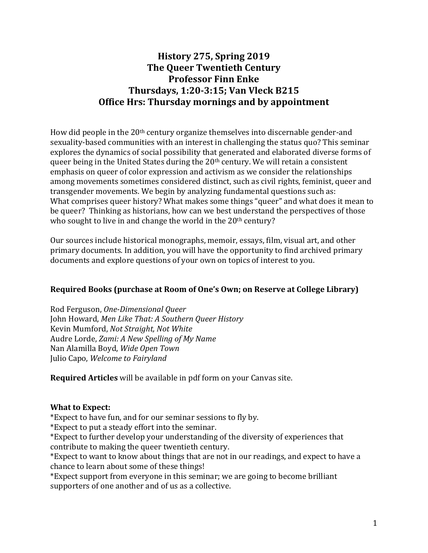## **History 275, Spring 2019 The Queer Twentieth Century Professor Finn Enke Thursdays, 1:20‐3:15; Van Vleck B215 Office Hrs: Thursday mornings and by appointment**

How did people in the 20th century organize themselves into discernable gender-and sexuality-based communities with an interest in challenging the status quo? This seminar explores the dynamics of social possibility that generated and elaborated diverse forms of queer being in the United States during the 20th century. We will retain a consistent emphasis on queer of color expression and activism as we consider the relationships among movements sometimes considered distinct, such as civil rights, feminist, queer and transgender movements. We begin by analyzing fundamental questions such as: What comprises queer history? What makes some things "queer" and what does it mean to be queer? Thinking as historians, how can we best understand the perspectives of those who sought to live in and change the world in the  $20<sup>th</sup>$  century?

Our sources include historical monographs, memoir, essays, film, visual art, and other primary documents. In addition, you will have the opportunity to find archived primary documents and explore questions of your own on topics of interest to you.

## **Required Books (purchase at Room of One's Own; on Reserve at College Library)**

Rod Ferguson, *One‐Dimensional Queer* John Howard, *Men Like That: A Southern Queer History* Kevin Mumford, *Not Straight, Not White* Audre Lorde, *Zami: A New Spelling of My Name* Nan Alamilla Boyd, *Wide Open Town* Julio Capo, *Welcome to Fairyland*

**Required Articles** will be available in pdf form on your Canvas site.

#### **What to Expect:**

\*Expect to have fun, and for our seminar sessions to fly by.

\*Expect to put a steady effort into the seminar.

\*Expect to further develop your understanding of the diversity of experiences that contribute to making the queer twentieth century.

\*Expect to want to know about things that are not in our readings, and expect to have a chance to learn about some of these things!

\*Expect support from everyone in this seminar; we are going to become brilliant supporters of one another and of us as a collective.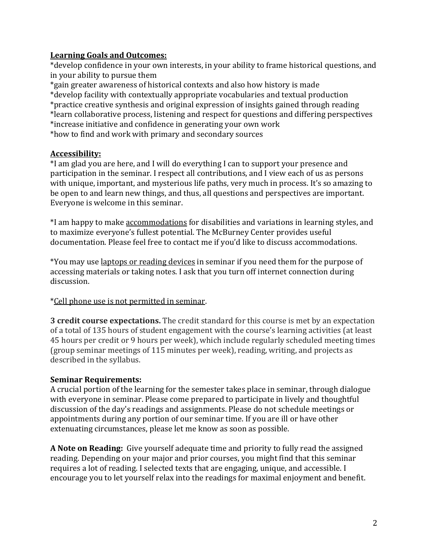## **Learning Goals and Outcomes:**

\*develop confidence in your own interests, in your ability to frame historical questions, and in your ability to pursue them

\*gain greater awareness of historical contexts and also how history is made \*develop facility with contextually appropriate vocabularies and textual production \*practice creative synthesis and original expression of insights gained through reading \*learn collaborative process, listening and respect for questions and differing perspectives \*increase initiative and confidence in generating your own work \*how to find and work with primary and secondary sources

## **Accessibility:**

\*I am glad you are here, and I will do everything I can to support your presence and participation in the seminar. I respect all contributions, and I view each of us as persons with unique, important, and mysterious life paths, very much in process. It's so amazing to be open to and learn new things, and thus, all questions and perspectives are important. Everyone is welcome in this seminar.

\*I am happy to make accommodations for disabilities and variations in learning styles, and to maximize everyone's fullest potential. The McBurney Center provides useful documentation. Please feel free to contact me if you'd like to discuss accommodations.

\*You may use laptops or reading devices in seminar if you need them for the purpose of accessing materials or taking notes. I ask that you turn off internet connection during discussion.

\*Cell phone use is not permitted in seminar.

**3 credit course expectations.** The credit standard for this course is met by an expectation of a total of 135 hours of student engagement with the course's learning activities (at least 45 hours per credit or 9 hours per week), which include regularly scheduled meeting times (group seminar meetings of 115 minutes per week), reading, writing, and projects as described in the syllabus.

## **Seminar Requirements:**

A crucial portion of the learning for the semester takes place in seminar, through dialogue with everyone in seminar. Please come prepared to participate in lively and thoughtful discussion of the day's readings and assignments. Please do not schedule meetings or appointments during any portion of our seminar time. If you are ill or have other extenuating circumstances, please let me know as soon as possible.

**A Note on Reading:** Give yourself adequate time and priority to fully read the assigned reading. Depending on your major and prior courses, you might find that this seminar requires a lot of reading. I selected texts that are engaging, unique, and accessible. I encourage you to let yourself relax into the readings for maximal enjoyment and benefit.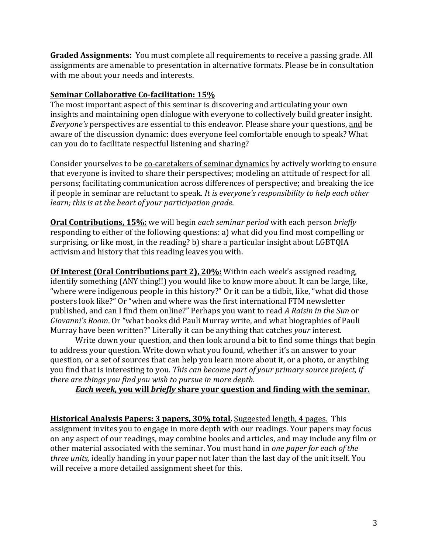**Graded Assignments:** You must complete all requirements to receive a passing grade. All assignments are amenable to presentation in alternative formats. Please be in consultation with me about your needs and interests.

## **Seminar Collaborative Co‐facilitation: 15%**

The most important aspect of this seminar is discovering and articulating your own insights and maintaining open dialogue with everyone to collectively build greater insight. *Everyone's* perspectives are essential to this endeavor. Please share your questions, and be aware of the discussion dynamic: does everyone feel comfortable enough to speak? What can you do to facilitate respectful listening and sharing?

Consider yourselves to be co-caretakers of seminar dynamics by actively working to ensure that everyone is invited to share their perspectives; modeling an attitude of respect for all persons; facilitating communication across differences of perspective; and breaking the ice if people in seminar are reluctant to speak. *It is everyone's responsibility to help each other learn; this is at the heart of your participation grade*.

**Oral Contributions, 15%:** we will begin *each seminar period* with each person *briefly* responding to either of the following questions: a) what did you find most compelling or surprising, or like most, in the reading? b) share a particular insight about LGBTQIA activism and history that this reading leaves you with.

**Of Interest (Oral Contributions part 2), 20%:** Within each week's assigned reading, identify something (ANY thing!!) you would like to know more about. It can be large, like, "where were indigenous people in this history?" Or it can be a tidbit, like, "what did those posters look like?" Or "when and where was the first international FTM newsletter published, and can I find them online?" Perhaps you want to read *A Raisin in the Sun* or *Giovanni's Room*. Or "what books did Pauli Murray write, and what biographies of Pauli Murray have been written?" Literally it can be anything that catches *your* interest.

 Write down your question, and then look around a bit to find some things that begin to address your question. Write down what you found, whether it's an answer to your question, or a set of sources that can help you learn more about it, or a photo, or anything you find that is interesting to you. *This can become part of your primary source project, if there are things you find you wish to pursue in more depth*.

#### *Each week***, you will** *briefly* **share your question and finding with the seminar.**

**Historical Analysis Papers: 3 papers, 30% total.** Suggested length, 4 pages. This assignment invites you to engage in more depth with our readings. Your papers may focus on any aspect of our readings, may combine books and articles, and may include any film or other material associated with the seminar. You must hand in *one paper for each of the three units,* ideally handing in your paper not later than the last day of the unit itself. You will receive a more detailed assignment sheet for this.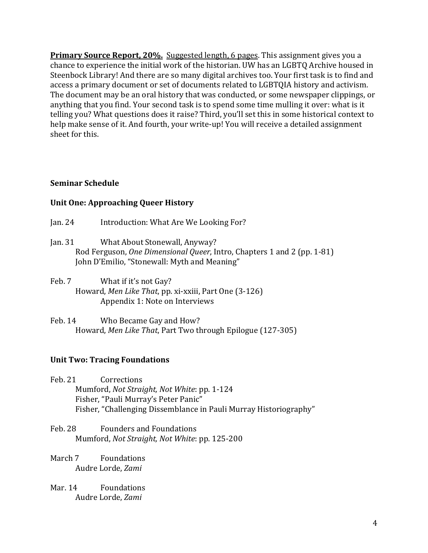**Primary Source Report, 20%.** Suggested length, 6 pages. This assignment gives you a chance to experience the initial work of the historian. UW has an LGBTQ Archive housed in Steenbock Library! And there are so many digital archives too. Your first task is to find and access a primary document or set of documents related to LGBTQIA history and activism. The document may be an oral history that was conducted, or some newspaper clippings, or anything that you find. Your second task is to spend some time mulling it over: what is it telling you? What questions does it raise? Third, you'll set this in some historical context to help make sense of it. And fourth, your write-up! You will receive a detailed assignment sheet for this.

#### **Seminar Schedule**

## **Unit One: Approaching Queer History**

- Jan. 24 Introduction: What Are We Looking For?
- Jan. 31 What About Stonewall, Anyway? Rod Ferguson, *One Dimensional Queer*, Intro, Chapters 1 and 2 (pp. 1-81) John D'Emilio, "Stonewall: Myth and Meaning"
- Feb. 7 What if it's not Gay? Howard, *Men Like That*, pp. xi-xxiii, Part One (3-126) Appendix 1: Note on Interviews
- Feb. 14 Who Became Gay and How? Howard, *Men Like That*, Part Two through Epilogue (127-305)

#### **Unit Two: Tracing Foundations**

- Feb. 21 Corrections Mumford, *Not Straight, Not White*: pp. 1-124 Fisher, "Pauli Murray's Peter Panic" Fisher, "Challenging Dissemblance in Pauli Murray Historiography"
- Feb. 28 Founders and Foundations Mumford, *Not Straight, Not White*: pp. 125-200
- March 7 Foundations Audre Lorde, *Zami*
- Mar. 14 Foundations Audre Lorde, *Zami*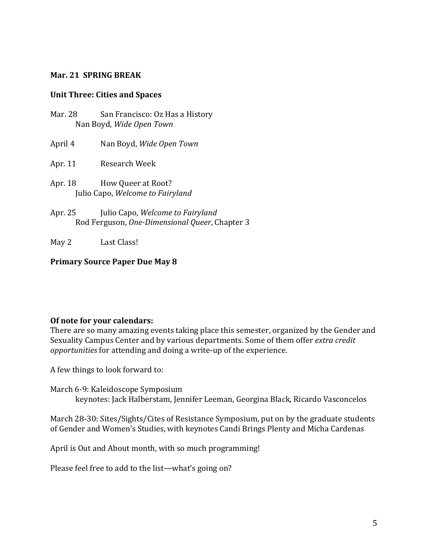#### **Mar. 21 SPRING BREAK**

#### **Unit Three: Cities and Spaces**

- Mar. 28 San Francisco: Oz Has a History Nan Boyd, *Wide Open Town*
- April 4 Nan Boyd, *Wide Open Town*
- Apr. 11 Research Week
- Apr. 18 How Queer at Root? Julio Capo, *Welcome to Fairyland*
- Apr. 25 Julio Capo, *Welcome to Fairyland* Rod Ferguson, *One‐Dimensional Queer*, Chapter 3
- May 2 Last Class!

## **Primary Source Paper Due May 8**

#### **Of note for your calendars:**

There are so many amazing events taking place this semester, organized by the Gender and Sexuality Campus Center and by various departments. Some of them offer *extra credit opportunities* for attending and doing a write-up of the experience.

A few things to look forward to:

March 6-9: Kaleidoscope Symposium keynotes: Jack Halberstam, Jennifer Leeman, Georgina Black, Ricardo Vasconcelos

March 28-30: Sites/Sights/Cites of Resistance Symposium, put on by the graduate students of Gender and Women's Studies, with keynotes Candi Brings Plenty and Micha Cardenas

April is Out and About month, with so much programming!

Please feel free to add to the list—what's going on?